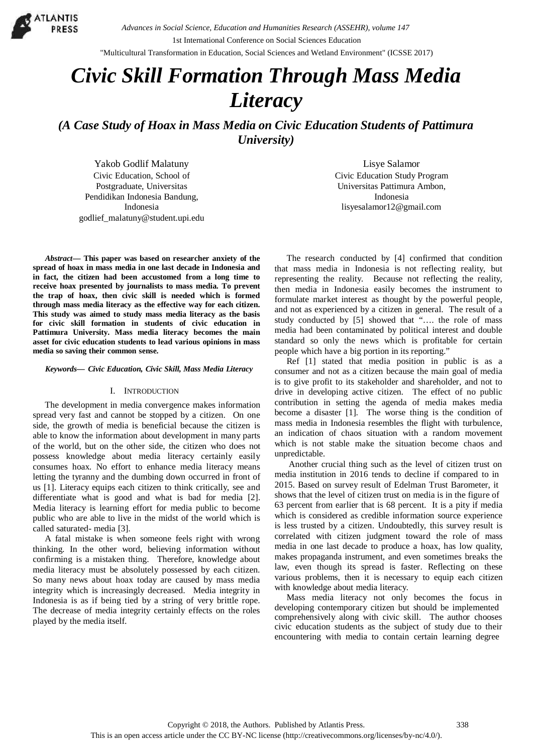

*Advances in Social Science, Education and Humanities Research (ASSEHR), volume 147*

1st International Conference on Social Sciences Education

"Multicultural Transformation in Education, Social Sciences and Wetland Environment" (ICSSE 2017)

# *Civic Skill Formation Through Mass Media Literacy*

*(A Case Study of Hoax in Mass Media on Civic Education Students of Pattimura University)*

Yakob Godlif Malatuny Civic Education, School of Postgraduate, Universitas Pendidikan Indonesia Bandung, Indonesia godlief\_malatuny@student.upi.edu

*Abstract***— This paper was based on researcher anxiety of the spread of hoax in mass media in one last decade in Indonesia and in fact, the citizen had been accustomed from a long time to receive hoax presented by journalists to mass media. To prevent the trap of hoax, then civic skill is needed which isformed through mass media literacy as the effective way for each citizen. This study was aimed to study mass media literacy as the basis for civic skill formation in students of civic education in Pattimura University. Mass media literacy becomes the main asset for civic education students to lead various opinions in mass media so saving their common sense.**

#### *Keywords— Civic Education, Civic Skill, Mass Media Literacy*

#### I. INTRODUCTION

The development in media convergence makes information spread very fast and cannot be stopped by a citizen. On one side, the growth of media is beneficial because the citizen is able to know the information about development in many parts of the world, but on the other side, the citizen who does not possess knowledge about media literacy certainly easily consumes hoax. No effort to enhance media literacy means letting the tyranny and the dumbing down occurred in front of us [1]. Literacy equips each citizen to think critically, see and differentiate what is good and what is bad for media [2]. Media literacy is learning effort for media public to become public who are able to live in the midst of the world which is called saturated- media [3].

A fatal mistake is when someone feels right with wrong thinking. In the other word, believing information without confirming is a mistaken thing. Therefore, knowledge about media literacy must be absolutely possessed by each citizen. So many news about hoax today are caused by mass media integrity which is increasingly decreased. Media integrity in Indonesia is as if being tied by a string of very brittle rope. The decrease of media integrity certainly effects on the roles played by the media itself.

Lisye Salamor Civic Education Study Program Universitas Pattimura Ambon, Indonesia lisyesalamor12@gmail.com

The research conducted by [4] confirmed that condition that mass media in Indonesia is not reflecting reality, but representing the reality. Because not reflecting the reality, then media in Indonesia easily becomes the instrument to formulate market interest as thought by the powerful people, and not as experienced by a citizen in general. The result of a study conducted by [5] showed that "…. the role of mass media had been contaminated by political interest and double standard so only the news which is profitable for certain people which have a big portion in its reporting."

Ref [1] stated that media position in public is as a consumer and not as a citizen because the main goal of media is to give profit to its stakeholder and shareholder, and not to drive in developing active citizen. The effect of no public contribution in setting the agenda of media makes media become a disaster [1]. The worse thing is the condition of mass media in Indonesia resembles the flight with turbulence, an indication of chaos situation with a random movement which is not stable make the situation become chaos and unpredictable.

Another crucial thing such as the level of citizen trust on media institution in 2016 tends to decline if compared to in 2015. Based on survey result of Edelman Trust Barometer, it shows that the level of citizen trust on media is in the figure of 63 percent from earlier that is 68 percent. It is a pity if media which is considered as credible information source experience is less trusted by a citizen. Undoubtedly, this survey result is correlated with citizen judgment toward the role of mass media in one last decade to produce a hoax, has low quality, makes propaganda instrument, and even sometimes breaks the law, even though its spread is faster. Reflecting on these various problems, then it is necessary to equip each citizen with knowledge about media literacy.

Mass media literacy not only becomes the focus in developing contemporary citizen but should be implemented comprehensively along with civic skill. The author chooses civic education students as the subject of study due to their encountering with media to contain certain learning degree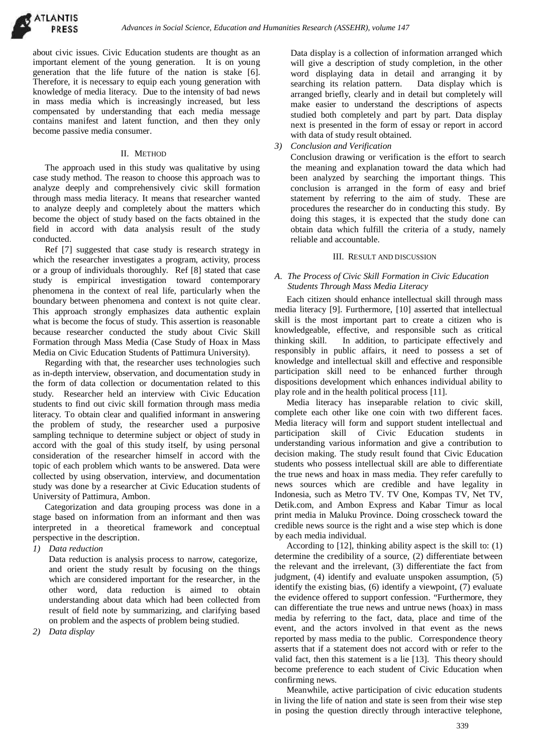**ATLANTIS** 

about civic issues. Civic Education students are thought as an important element of the young generation. It is on young generation that the life future of the nation is stake [6]. Therefore, it is necessary to equip each young generation with knowledge of media literacy. Due to the intensity of bad news in mass media which is increasingly increased, but less compensated by understanding that each media message contains manifest and latent function, and then they only become passive media consumer.

#### II. METHOD

The approach used in this study was qualitative by using case study method. The reason to choose this approach was to analyze deeply and comprehensively civic skill formation through mass media literacy. It means that researcher wanted to analyze deeply and completely about the matters which become the object of study based on the facts obtained in the field in accord with data analysis result of the study conducted.

Ref [7] suggested that case study is research strategy in which the researcher investigates a program, activity, process or a group of individuals thoroughly. Ref [8] stated that case study is empirical investigation toward contemporary phenomena in the context of real life, particularly when the boundary between phenomena and context is not quite clear. This approach strongly emphasizes data authentic explain what is become the focus of study. This assertion is reasonable because researcher conducted the study about Civic Skill knowledgeable,<br>Formation through Mass Media (Case Study of Hoax in Mass thinking skill. Formation through Mass Media (Case Study of Hoax in Mass Media on Civic Education Students of Pattimura University).

Regarding with that, the researcher uses technologies such as in-depth interview, observation, and documentation study in the form of data collection or documentation related to this study. Researcher held an interview with Civic Education students to find out civic skill formation through mass media literacy. To obtain clear and qualified informant in answering the problem of study, the researcher used a purposive sampling technique to determine subject or object of study in accord with the goal of this study itself, by using personal consideration of the researcher himself in accord with the topic of each problem which wants to be answered. Data were collected by using observation, interview, and documentation study was done by a researcher at Civic Education students of University of Pattimura, Ambon.

Categorization and data grouping process was done in a stage based on information from an informant and then was interpreted in a theoretical framework and conceptual perspective in the description.

*1) Data reduction*

Data reduction is analysis process to narrow, categorize, and orient the study result by focusing on the things which are considered important for the researcher, in the other word, data reduction is aimed to obtain understanding about data which had been collected from result of field note by summarizing, and clarifying based on problem and the aspects of problem being studied.

*2) Data display*

Data display is a collection of information arranged which will give a description of study completion, in the other word displaying data in detail and arranging it by searching its relation pattern. Data display which is arranged briefly, clearly and in detail but completely will make easier to understand the descriptions of aspects studied both completely and part by part. Data display next is presented in the form of essay or report in accord with data of study result obtained.

*3) Conclusion and Verification*

Conclusion drawing or verification is the effort to search the meaning and explanation toward the data which had been analyzed by searching the important things. This conclusion is arranged in the form of easy and brief statement by referring to the aim of study. These are procedures the researcher do in conducting this study. By doing this stages, it is expected that the study done can obtain data which fulfill the criteria of a study, namely reliable and accountable.

### III. RESULT AND DISCUSSION

## *A. The Process of Civic Skill Formation in Civic Education Students Through Mass Media Literacy*

Each citizen should enhance intellectual skill through mass media literacy [9].Furthermore, [10] asserted that intellectual skill is the most important part to create a citizen who is knowledgeable, effective, and responsible such as critical In addition, to participate effectively and responsibly in public affairs, it need to possess a set of knowledge and intellectual skill and effective and responsible participation skill need to be enhanced further through dispositions development which enhances individual ability to play role and in the health political process [11].

Media literacy has inseparable relation to civic skill, complete each other like one coin with two different faces. Media literacy will form and support student intellectual and participation skill of Civic Education students in understanding various information and give a contribution to decision making. The study result found that Civic Education students who possess intellectual skill are able to differentiate the true news and hoax in mass media. They refer carefully to news sources which are credible and have legality in Indonesia, such as Metro TV. TV One, Kompas TV, Net TV, Detik.com, and Ambon Express and Kabar Timur as local print media in Maluku Province. Doing crosscheck toward the credible news source is the right and a wise step which is done by each media individual.

According to [12], thinking ability aspect is the skill to: (1) determine the credibility of a source, (2) differentiate between the relevant and the irrelevant, (3) differentiate the fact from judgment, (4) identify and evaluate unspoken assumption, (5) identify the existing bias, (6) identify a viewpoint, (7) evaluate the evidence offered to support confession. "Furthermore, they can differentiate the true news and untrue news (hoax) in mass media by referring to the fact, data, place and time of the event, and the actors involved in that event as the news reported by mass media to the public. Correspondence theory asserts that if a statement does not accord with or refer to the valid fact, then this statement is a lie [13]. This theory should become preference to each student of Civic Education when confirming news.

Meanwhile, active participation of civic education students in living the life of nation and state is seen from their wise step in posing the question directly through interactive telephone,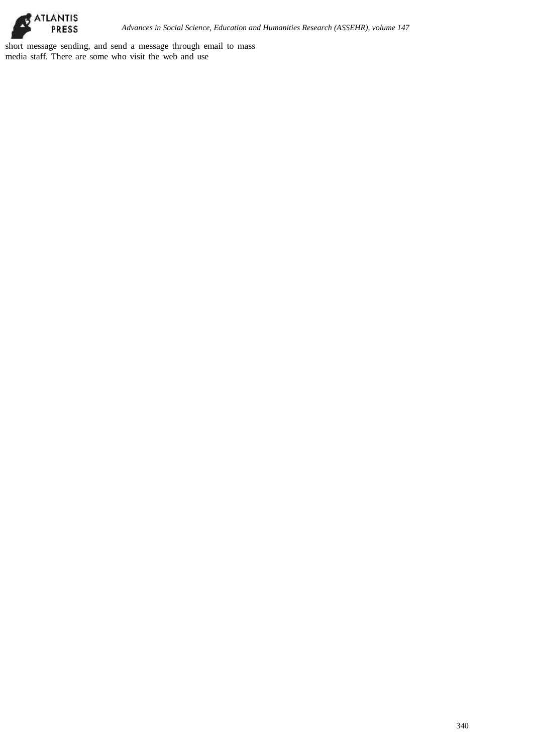

short message sending, and send a message through email to mass media staff. There are some who visit the web and use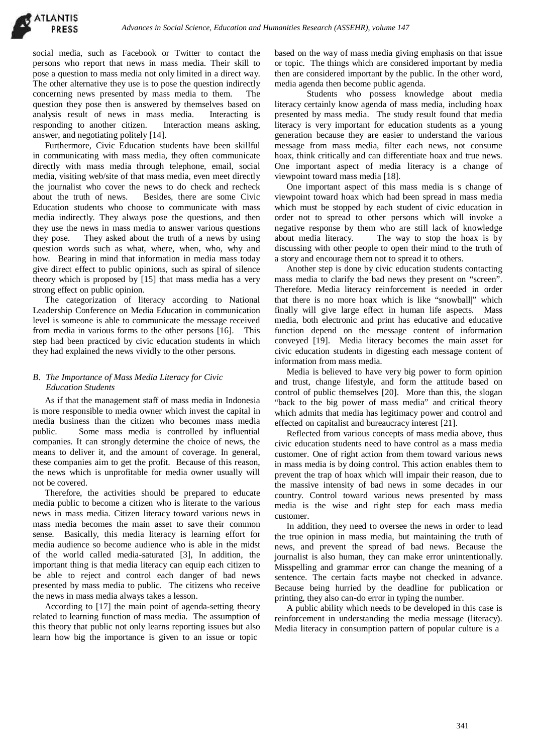social media, such as Facebook or Twitter to contact the persons who report that news in mass media. Their skill to pose a question to mass media not only limited in a direct way. The other alternative they use is to pose the question indirectly concerning news presented by mass media to them. The question they pose then is answered by themselves based on analysis result of news in mass media. Interacting is responding to another citizen. Interaction means asking, answer, and negotiating politely [14].

Furthermore, Civic Education students have been skillful in communicating with mass media, they often communicate directly with mass media through telephone, email, social media, visiting web/site of that mass media, even meet directly the journalist who cover the news to do check and recheck about the truth of news. Besides, there are some Civic Education students who choose to communicate with mass media indirectly. They always pose the questions, and then they use the news in mass media to answer various questions they pose. They asked about the truth of a news by using about media literacy. question words such as what, where, when, who, why and how. Bearing in mind that information in media mass today give direct effect to public opinions, such as spiral of silence theory which is proposed by [15] that mass media has a very strong effect on public opinion.

The categorization of literacy according to National Leadership Conference on Media Education in communication level is someone is able to communicate the message received from media in various forms to the other persons [16]. This step had been practiced by civic education students in which they had explained the news vividly to the other persons.

# *B. The Importance of Mass Media Literacy for Civic Education Students*

As if that the management staff of mass media in Indonesia is more responsible to media owner which invest the capital in media business than the citizen who becomes mass media public. Some mass media is controlled by influential companies. It can strongly determine the choice of news, the means to deliver it, and the amount of coverage. In general, these companies aim to get the profit. Because of this reason, the news which is unprofitable for media owner usually will not be covered.

Therefore, the activities should be prepared to educate media public to become a citizen who is literate to the various news in mass media. Citizen literacy toward various news in mass media becomes the main asset to save their common sense. Basically, this media literacy is learning effort for media audience so become audience who is able in the midst of the world called media-saturated [3], In addition, the important thing is that media literacy can equip each citizen to be able to reject and control each danger of bad news presented by mass media to public. The citizens who receive the news in mass media always takes a lesson.

According to [17] the main point of agenda-setting theory related to learning function of mass media. The assumption of this theory that public not only learns reporting issues but also learn how big the importance is given to an issue or topic

based on the way of mass media giving emphasis on that issue or topic. The things which are considered important by media then are considered important by the public. In the other word, media agenda then become public agenda.

Students who possess knowledge about media literacy certainly know agenda of mass media, including hoax presented by mass media. The study result found that media literacy is very important for education students as a young generation because they are easier to understand the various message from mass media, filter each news, not consume hoax, think critically and can differentiate hoax and true news. One important aspect of media literacy is a change of viewpoint toward mass media [18].

One important aspect of this mass media is s change of viewpoint toward hoax which had been spread in mass media which must be stopped by each student of civic education in order not to spread to other persons which will invoke a negative response by them who are still lack of knowledge The way to stop the hoax is by discussing with other people to open their mind to the truth of a story and encourage them not to spread it to others.

Another step is done by civic education students contacting mass media to clarify the bad news they present on "screen". Therefore. Media literacy reinforcement is needed in order that there is no more hoax which is like "snowball|" which finally will give large effect in human life aspects. Mass media, both electronic and print has educative and educative function depend on the message content of information conveyed [19]. Media literacy becomes the main asset for civic education students in digesting each message content of information from mass media.

Media is believed to have very big power to form opinion and trust, change lifestyle, and form the attitude based on control of public themselves [20]. More than this, the slogan "back to the big power of mass media" and critical theory which admits that media has legitimacy power and control and effected on capitalist and bureaucracy interest [21].

Reflected from various concepts of mass media above, thus civic education students need to have control as a mass media customer. One of right action from them toward various news in mass media is by doing control. This action enables them to prevent the trap of hoax which will impair their reason, due to the massive intensity of bad news in some decades in our country. Control toward various news presented by mass media is the wise and right step for each mass media customer.

In addition, they need to oversee the news in order to lead the true opinion in mass media, but maintaining the truth of news, and prevent the spread of bad news. Because the journalist is also human, they can make error unintentionally. Misspelling and grammar error can change the meaning of a sentence. The certain facts maybe not checked in advance. Because being hurried by the deadline for publication or printing, they also can-do error in typing the number.

A public ability which needs to be developed in this case is reinforcement in understanding the media message (literacy). Media literacy in consumption pattern of popular culture is a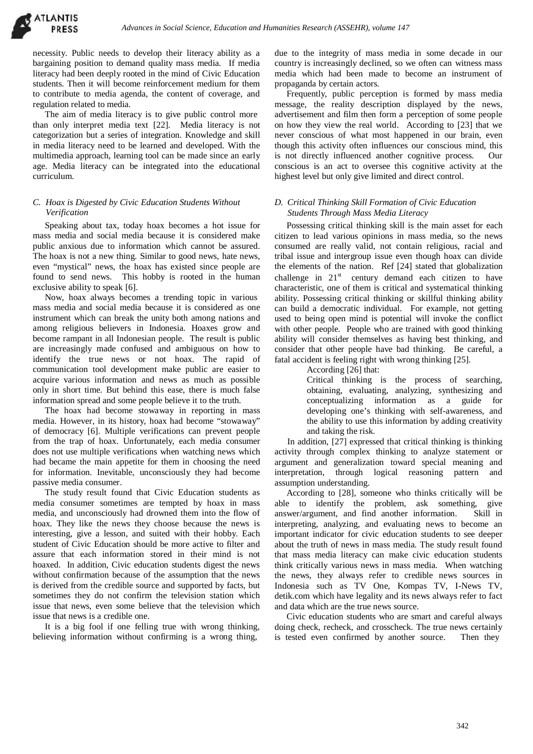necessity. Public needs to develop their literacy ability as a bargaining position to demand quality mass media. If media literacy had been deeply rooted in the mind of Civic Education students. Then it will become reinforcement medium for them to contribute to media agenda, the content of coverage, and regulation related to media.

The aim of media literacy is to give public control more than only interpret media text [22]. Media literacy is not categorization but a series of integration. Knowledge and skill in media literacy need to be learned and developed. With the multimedia approach, learning tool can be made since an early age. Media literacy can be integrated into the educational curriculum.

# *C. Hoax is Digested by Civic Education Students Without Verification*

Speaking about tax, today hoax becomes a hot issue for mass media and social media because it is considered make public anxious due to information which cannot be assured. The hoax is not a new thing. Similar to good news, hate news, even "mystical" news, the hoax has existed since people are found to send news. This hobby is rooted in the human exclusive ability to speak [6].

Now, hoax always becomes a trending topic in various mass media and social media because it is considered as one instrument which can break the unity both among nations and among religious believers in Indonesia. Hoaxes grow and become rampant in all Indonesian people. The result is public are increasingly made confused and ambiguous on how to identify the true news or not hoax. The rapid of communication tool development make public are easier to acquire various information and news as much as possible only in short time. But behind this ease, there is much false information spread and some people believe it to the truth.

The hoax had become stowaway in reporting in mass media. However, in its history, hoax had become "stowaway" of democracy [6]. Multiple verifications can prevent people from the trap of hoax. Unfortunately, each media consumer does not use multiple verifications when watching news which had became the main appetite for them in choosing the need for information. Inevitable, unconsciously they had become passive media consumer.

The study result found that Civic Education students as media consumer sometimes are tempted by hoax in mass media, and unconsciously had drowned them into the flow of hoax. They like the news they choose because the news is interesting, give a lesson, and suited with their hobby. Each student of Civic Education should be more active to filter and assure that each information stored in their mind is not hoaxed. In addition, Civic education students digest the news without confirmation because of the assumption that the news is derived from the credible source and supported by facts, but sometimes they do not confirm the television station which issue that news, even some believe that the television which issue that news is a credible one.

It is a big fool if one felling true with wrong thinking, believing information without confirming is a wrong thing,

due to the integrity of mass media in some decade in our country is increasingly declined, so we often can witness mass media which had been made to become an instrument of propaganda by certain actors.

Frequently, public perception is formed by mass media message, the reality description displayed by the news, advertisement and film then form a perception of some people on how they view the real world. According to [23] that we never conscious of what most happened in our brain, even though this activity often influences our conscious mind, this is not directly influenced another cognitive process. Our conscious is an act to oversee this cognitive activity at the highest level but only give limited and direct control.

## *D. Critical Thinking Skill Formation of Civic Education Students Through Mass Media Literacy*

Possessing critical thinking skill is the main asset for each citizen to lead various opinions in mass media, so the news consumed are really valid, not contain religious, racial and tribal issue and intergroup issue even though hoax can divide the elements of the nation. Ref [24] stated that globalization challenge in  $21<sup>st</sup>$  century demand each citizen to have characteristic, one of them is critical and systematical thinking ability. Possessing critical thinking or skillful thinking ability can build a democratic individual. For example, not getting used to being open mind is potential will invoke the conflict with other people. People who are trained with good thinking ability will consider themselves as having best thinking, and consider that other people have bad thinking. Be careful, a fatal accident is feeling right with wrong thinking [25].

According [26] that:

Critical thinking is the process of searching, obtaining, evaluating, analyzing, synthesizing and conceptualizing information as a guide for developing one's thinking with self-awareness, and the ability to use this information by adding creativity and taking the risk.

In addition, [27] expressed that critical thinking is thinking activity through complex thinking to analyze statement or argument and generalization toward special meaning and interpretation, through logical reasoning pattern and assumption understanding.

According to [28], someone who thinks critically will be able to identify the problem, ask something, give answer/argument, and find another information. Skill in interpreting, analyzing, and evaluating news to become an important indicator for civic education students to see deeper about the truth of news in mass media. The study result found that mass media literacy can make civic education students think critically various news in mass media. When watching the news, they always refer to credible news sources in Indonesia such as TV One, Kompas TV, I-News TV, detik.com which have legality and its news always refer to fact and data which are the true news source.

Civic education students who are smart and careful always doing check, recheck, and crosscheck. The true news certainly is tested even confirmed by another source. Then they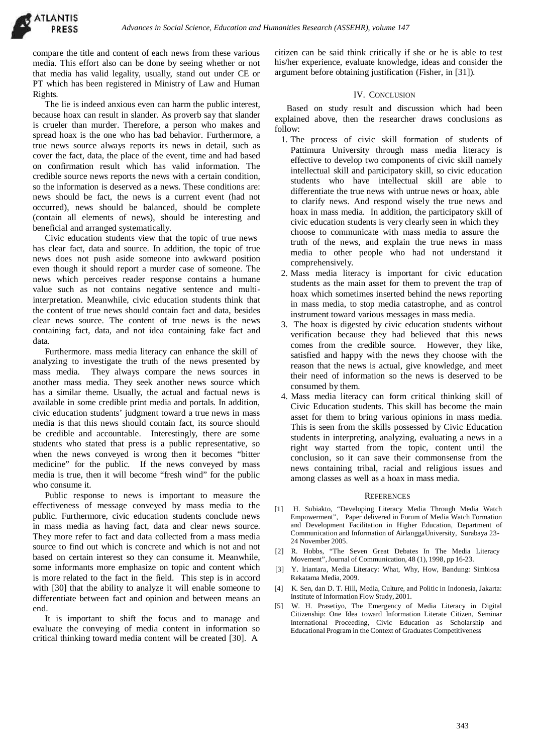compare the title and content of each news from these various media. This effort also can be done by seeing whether or not that media has valid legality, usually, stand out under CE or PT which has been registered in Ministry of Law and Human Rights.

The lie is indeed anxious even can harm the public interest, because hoax can result in slander. As proverb say that slander is crueler than murder. Therefore, a person who makes and spread hoax is the one who has bad behavior. Furthermore, a true news source always reports its news in detail, such as cover the fact, data, the place of the event, time and had based on confirmation result which has valid information. The credible source news reports the news with a certain condition, so the information is deserved as a news. These conditions are: news should be fact, the news is a current event (had not occurred), news should be balanced, should be complete (contain all elements of news), should be interesting and beneficial and arranged systematically.

Civic education students view that the topic of true news has clear fact, data and source. In addition, the topic of true news does not push aside someone into awkward position even though it should report a murder case of someone. The news which perceives reader response contains a humane value such as not contains negative sentence and multiinterpretation. Meanwhile, civic education students think that the content of true news should contain fact and data, besides clear news source. The content of true news is the news containing fact, data, and not idea containing fake fact and

data.<br>Furthermore. mass media literacy can enhance the skill of analyzing to investigate the truth of the news presented by mass media. They always compare the news sources in another mass media. They seek another news source which has a similar theme. Usually, the actual and factual news is available in some credible print media and portals. In addition, civic education students' judgment toward a true news in mass media is that this news should contain fact, its source should be credible and accountable. Interestingly, there are some students who stated that press is a public representative, so when the news conveyed is wrong then it becomes "bitter medicine" for the public. If the news conveyed by mass media is true, then it will become "fresh wind" for the public who consume it.

Public response to news is important to measure the effectiveness of message conveyed by mass media to the public. Furthermore, civic education students conclude news in mass media as having fact, data and clear news source. They more refer to fact and data collected from a mass media source to find out which is concrete and which is not and not based on certain interest so they can consume it. Meanwhile, some informants more emphasize on topic and content which is more related to the fact in the field. This step is in accord with [30] that the ability to analyze it will enable someone to [4] differentiate between fact and opinion and between means an end.

It is important to shift the focus and to manage and evaluate the conveying of media content in information so critical thinking toward media content will be created [30]. A

citizen can be said think critically if she or he is able to test his/her experience, evaluate knowledge, ideas and consider the argument before obtaining justification (Fisher, in [31]).

## IV. CONCLUSION

Based on study result and discussion which had been explained above, then the researcher draws conclusions as follow:

- 1. The process of civic skill formation of students of Pattimura University through mass media literacy is effective to develop two components of civic skill namely intellectual skill and participatory skill, so civic education students who have intellectual skill are able to differentiate the true news with untrue news or hoax, able to clarify news. And respond wisely the true news and hoax in mass media. In addition, the participatory skill of civic education students is very clearly seen in which they choose to communicate with mass media to assure the truth of the news, and explain the true news in mass media to other people who had not understand it comprehensively.
- 2. Mass media literacy is important for civic education students as the main asset for them to prevent the trap of hoax which sometimes inserted behind the news reporting in mass media, to stop media catastrophe, and as control instrument toward various messages in mass media.
- 3. The hoax is digested by civic education students without verification because they had believed that this news comes from the credible source. However, they like, satisfied and happy with the news they choose with the reason that the news is actual, give knowledge, and meet their need of information so the news is deserved to be consumed by them.
- 4. Mass media literacy can form critical thinking skill of Civic Education students. This skill has become the main asset for them to bring various opinions in mass media. This is seen from the skills possessed by Civic Education students in interpreting, analyzing, evaluating a news in a right way started from the topic, content until the conclusion, so it can save their commonsense from the news containing tribal, racial and religious issues and among classes as well as a hoax in mass media.

#### **REFERENCES**

- H. Subiakto, "Developing Literacy Media Through Media Watch Empowerment", Paper delivered in Forum of Media Watch Formation and Development Facilitation in Higher Education, Department of Communication and Information of AirlanggaUniversity, Surabaya 23- 24 November 2005.
- [2] R. Hobbs, "The Seven Great Debates In The Media Literacy Movement",Journal of Communication, 48 (1), 1998, pp 16-23.
- [3] Y. Iriantara, Media Literacy: What, Why, How, Bandung: Simbiosa Rekatama Media, 2009.
- K. Sen, dan D. T. Hill, Media, Culture, and Politic in Indonesia, Jakarta: Institute of Information Flow Study, 2001.
- [5] W. H. Prasetiyo, The Emergency of Media Literacy in Digital Citizenship: One Idea toward Information Literate Citizen, Seminar International Proceeding, Civic Education as Scholarship and Educational Program in the Context of Graduates Competitiveness